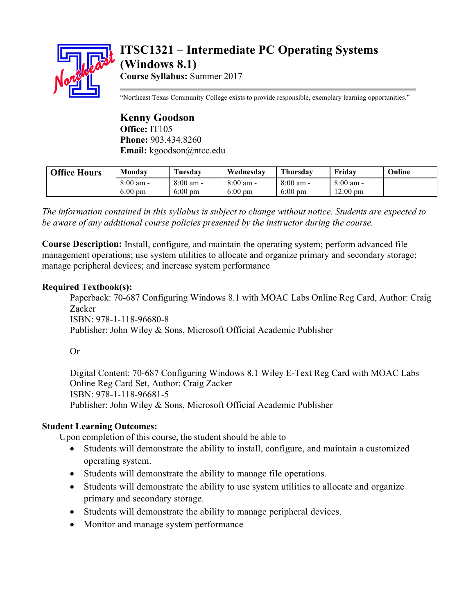

# **ITSC1321 – Intermediate PC Operating Systems (Windows 8.1) Course Syllabus:** Summer 2017

"Northeast Texas Community College exists to provide responsible, exemplary learning opportunities."

**Kenny Goodson Office:** IT105 **Phone:** 903.434.8260 **Email:** kgoodson@ntcc.edu

| <b>Office Hours</b> | Monday      | \uesdav             | Wednesdav           | Thursdav            | Fridav              | Online |
|---------------------|-------------|---------------------|---------------------|---------------------|---------------------|--------|
|                     | $8:00$ am - | $8:00 \text{ am} -$ | $8:00 \text{ am}$ - | $8:00 \text{ am} -$ | $8:00 \text{ am} -$ |        |
|                     | $6:00$ pm   | $6:00$ pm           | $6:00 \text{ pm}$   | $6:00 \text{ pm}$   | $12:00 \text{ pm}$  |        |

*The information contained in this syllabus is subject to change without notice. Students are expected to be aware of any additional course policies presented by the instructor during the course.*

**Course Description:** Install, configure, and maintain the operating system; perform advanced file management operations; use system utilities to allocate and organize primary and secondary storage; manage peripheral devices; and increase system performance

# **Required Textbook(s):**

Paperback: 70-687 Configuring Windows 8.1 with MOAC Labs Online Reg Card, Author: Craig Zacker ISBN: 978-1-118-96680-8 Publisher: John Wiley & Sons, Microsoft Official Academic Publisher

# Or

Digital Content: 70-687 Configuring Windows 8.1 Wiley E-Text Reg Card with MOAC Labs Online Reg Card Set, Author: Craig Zacker ISBN: 978-1-118-96681-5 Publisher: John Wiley & Sons, Microsoft Official Academic Publisher

#### **Student Learning Outcomes:**

Upon completion of this course, the student should be able to

- Students will demonstrate the ability to install, configure, and maintain a customized operating system.
- Students will demonstrate the ability to manage file operations.
- Students will demonstrate the ability to use system utilities to allocate and organize primary and secondary storage.
- Students will demonstrate the ability to manage peripheral devices.
- Monitor and manage system performance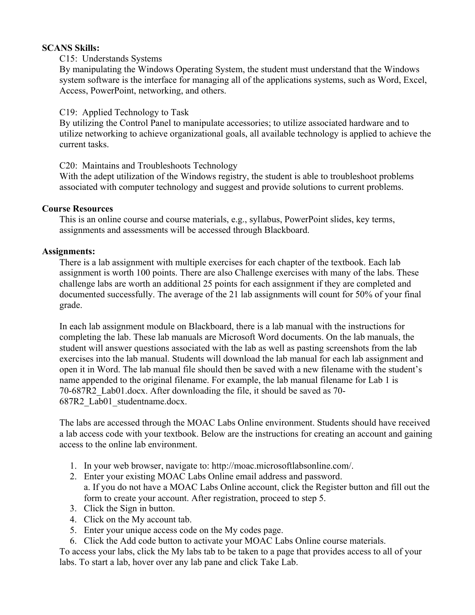# **SCANS Skills:**

# C15: Understands Systems

By manipulating the Windows Operating System, the student must understand that the Windows system software is the interface for managing all of the applications systems, such as Word, Excel, Access, PowerPoint, networking, and others.

# C19: Applied Technology to Task

By utilizing the Control Panel to manipulate accessories; to utilize associated hardware and to utilize networking to achieve organizational goals, all available technology is applied to achieve the current tasks.

C20: Maintains and Troubleshoots Technology

With the adept utilization of the Windows registry, the student is able to troubleshoot problems associated with computer technology and suggest and provide solutions to current problems.

# **Course Resources**

This is an online course and course materials, e.g., syllabus, PowerPoint slides, key terms, assignments and assessments will be accessed through Blackboard.

# **Assignments:**

There is a lab assignment with multiple exercises for each chapter of the textbook. Each lab assignment is worth 100 points. There are also Challenge exercises with many of the labs. These challenge labs are worth an additional 25 points for each assignment if they are completed and documented successfully. The average of the 21 lab assignments will count for 50% of your final grade.

In each lab assignment module on Blackboard, there is a lab manual with the instructions for completing the lab. These lab manuals are Microsoft Word documents. On the lab manuals, the student will answer questions associated with the lab as well as pasting screenshots from the lab exercises into the lab manual. Students will download the lab manual for each lab assignment and open it in Word. The lab manual file should then be saved with a new filename with the student's name appended to the original filename. For example, the lab manual filename for Lab 1 is 70-687R2\_Lab01.docx. After downloading the file, it should be saved as 70- 687R2\_Lab01\_studentname.docx.

The labs are accessed through the MOAC Labs Online environment. Students should have received a lab access code with your textbook. Below are the instructions for creating an account and gaining access to the online lab environment.

- 1. In your web browser, navigate to: http://moac.microsoftlabsonline.com/.
- 2. Enter your existing MOAC Labs Online email address and password. a. If you do not have a MOAC Labs Online account, click the Register button and fill out the
- form to create your account. After registration, proceed to step 5.
- 3. Click the Sign in button.
- 4. Click on the My account tab.
- 5. Enter your unique access code on the My codes page.
- 6. Click the Add code button to activate your MOAC Labs Online course materials.

To access your labs, click the My labs tab to be taken to a page that provides access to all of your labs. To start a lab, hover over any lab pane and click Take Lab.